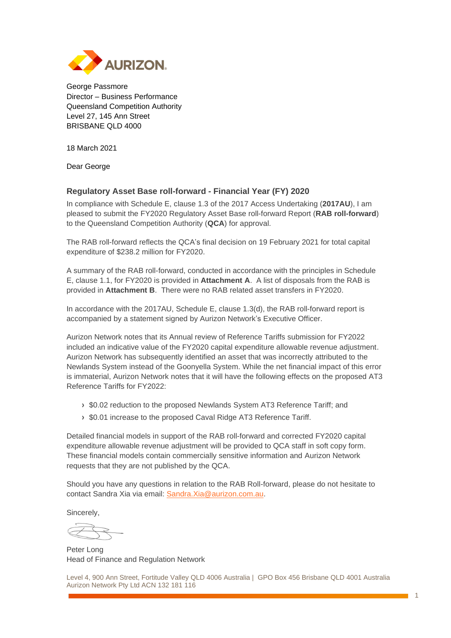

George Passmore Director – Business Performance Queensland Competition Authority Level 27, 145 Ann Street BRISBANE QLD 4000

18 March 2021

Dear George

### **Regulatory Asset Base roll-forward - Financial Year (FY) 2020**

In compliance with Schedule E, clause 1.3 of the 2017 Access Undertaking (**2017AU**), I am pleased to submit the FY2020 Regulatory Asset Base roll-forward Report (**RAB roll-forward**) to the Queensland Competition Authority (**QCA**) for approval.

The RAB roll-forward reflects the QCA's final decision on 19 February 2021 for total capital expenditure of \$238.2 million for FY2020.

A summary of the RAB roll-forward, conducted in accordance with the principles in Schedule E, clause 1.1, for FY2020 is provided in **Attachment A**. A list of disposals from the RAB is provided in **Attachment B**. There were no RAB related asset transfers in FY2020.

In accordance with the 2017AU, Schedule E, clause 1.3(d), the RAB roll-forward report is accompanied by a statement signed by Aurizon Network's Executive Officer.

Aurizon Network notes that its Annual review of Reference Tariffs submission for FY2022 included an indicative value of the FY2020 capital expenditure allowable revenue adjustment. Aurizon Network has subsequently identified an asset that was incorrectly attributed to the Newlands System instead of the Goonyella System. While the net financial impact of this error is immaterial, Aurizon Network notes that it will have the following effects on the proposed AT3 Reference Tariffs for FY2022:

- **›** \$0.02 reduction to the proposed Newlands System AT3 Reference Tariff; and
- **›** \$0.01 increase to the proposed Caval Ridge AT3 Reference Tariff.

Detailed financial models in support of the RAB roll-forward and corrected FY2020 capital expenditure allowable revenue adjustment will be provided to QCA staff in soft copy form. These financial models contain commercially sensitive information and Aurizon Network requests that they are not published by the QCA.

Should you have any questions in relation to the RAB Roll-forward, please do not hesitate to contact Sandra Xia via email: [Sandra.Xia@aurizon.com.au.](mailto:Sandra.Xia@aurizon.com.au)

Sincerely,

Peter Long Head of Finance and Regulation Network

Level 4, 900 Ann Street, Fortitude Valley QLD 4006 Australia | GPO Box 456 Brisbane QLD 4001 Australia Aurizon Network Pty Ltd ACN 132 181 116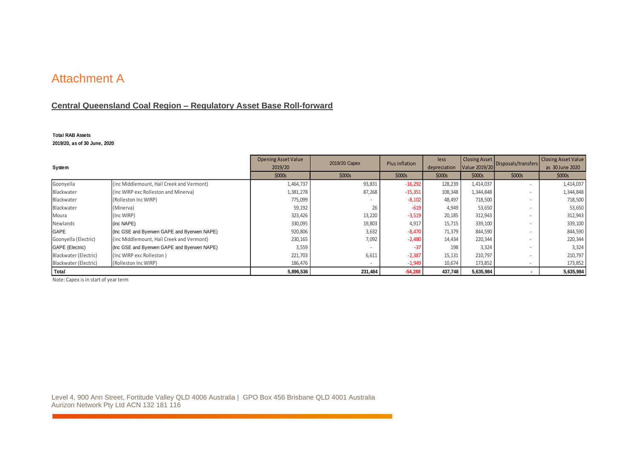# Attachment A

## **Central Queensland Coal Region – Regulatory Asset Base Roll-forward**

#### **Total RAB Assets**

**2019/20, as of 30 June, 2020**

| System                |                                             | <b>Opening Asset Value</b><br>2019/20 | 2019/20 Capex            | <b>Plus inflation</b> | less<br>depreciation | <b>Closing Asset</b><br>Value 2019/20 | Disposals/transfers | <b>Closing Asset Value</b><br>as 30 June 2020 |
|-----------------------|---------------------------------------------|---------------------------------------|--------------------------|-----------------------|----------------------|---------------------------------------|---------------------|-----------------------------------------------|
|                       |                                             | \$000s                                | \$000s                   | \$000s                | \$000s               | \$000s                                | \$000s              | \$000s                                        |
| Goonyella             | (inc Middlemount, Hail Creek and Vermont)   | 1,464,737                             | 93,831                   | $-16,292$             | 128,239              | 1,414,037                             |                     | 1,414,037                                     |
| Blackwater            | (Inc WIRP exc Rolleston and Minerva)        | 1,381,278                             | 87,268                   | $-15,351$             | 108,348              | 1,344,848                             |                     | 1,344,848                                     |
| Blackwater            | (Rolleston Inc WIRP)                        | 775,099                               | $\overline{\phantom{a}}$ | $-8,102$              | 48,497               | 718,500                               |                     | 718,500                                       |
| Blackwater            | (Minerva)                                   | 59,192                                | 26                       | $-619$                | 4,949                | 53,650                                |                     | 53,650                                        |
| Moura                 | (Inc WIRP)                                  | 323,426                               | 13,220                   | $-3,519$              | 20,185               | 312,943                               |                     | 312,943                                       |
| Newlands              | (inc NAPE)                                  | 330,095                               | 19,803                   | 4,917                 | 15,715               | 339,100                               |                     | 339,100                                       |
| <b>GAPE</b>           | (Inc GSE and Byerwen GAPE and Byerwen NAPE) | 920,806                               | 3,632                    | $-8,470$              | 71,379               | 844,590                               |                     | 844,590                                       |
| Goonyella (Electric)  | (inc Middlemount, Hail Creek and Vermont)   | 230,165                               | 7,092                    | $-2,480$              | 14,434               | 220,344                               |                     | 220,344                                       |
| GAPE (Electric)       | (Inc GSE and Byerwen GAPE and Byerwen NAPE) | 3,559                                 |                          | $-37$                 | 198                  | 3,324                                 |                     | 3,324                                         |
| Blackwater (Electric) | (Inc WIRP exc Rolleston)                    | 221,703                               | 6,611                    | $-2,387$              | 15,131               | 210,797                               |                     | 210,797                                       |
| Blackwater (Electric) | (Rolleston Inc WIRP)                        | 186,476                               |                          | $-1,949$              | 10,674               | 173,852                               |                     | 173,852                                       |
| Total                 |                                             | 5,896,536                             | 231,484                  | $-54,288$             | 437,748              | 5,635,984                             |                     | 5,635,984                                     |

Note: Capex is in start of year term

Level 4, 900 Ann Street, Fortitude Valley QLD 4006 Australia | GPO Box 456 Brisbane QLD 4001 Australia Aurizon Network Pty Ltd ACN 132 181 116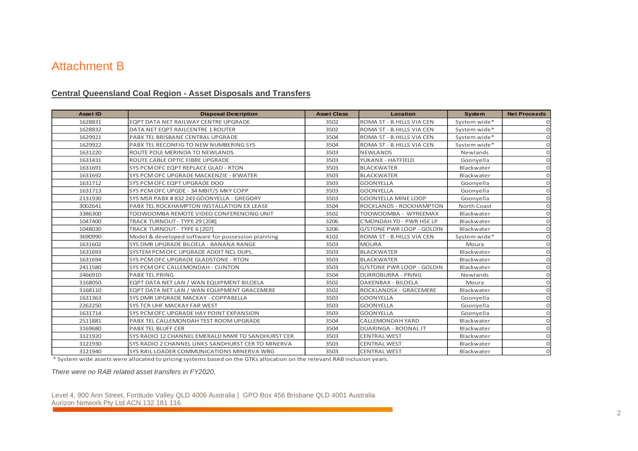## Attachment B

## **Central Queensland Coal Region - Asset Disposals and Transfers**

| <b>Asset ID</b> | <b>Disposal Description</b>                        | <b>Asset Class</b> | Location                         | System       | <b>Net Proceeds</b> |
|-----------------|----------------------------------------------------|--------------------|----------------------------------|--------------|---------------------|
| 1628831         | EQPT DATA NET RAILWAY CENTRE UPGRADE               | 3502               | ROMA ST - B.HILLS VIA CEN        | System wide* |                     |
| 1628832         | DATA NET EQPT RAILCENTRE 1 ROUTER                  | 3502               | ROMA ST - B.HILLS VIA CEN        | System wide* |                     |
| 1629921         | PABX TEL BRISBANE CENTRAL UPGRADE                  | 3504               | ROMA ST - B.HILLS VIA CEN        | System wide* |                     |
| 1629922         | PABX TEL RECONFIG TO NEW NUMBERING SYS             | 3504               | ROMA ST - B.HILLS VIA CEN        | System wide* |                     |
| 1631220         | ROUTE POLE MERINDA TO NEWLANDS                     | 3503               | <b>NEWLANDS</b>                  | Newlands     |                     |
| 1631431         | ROUTE CABLE OPTIC FIBRE UPGRADE                    | 3503               | YUKANX - HATFIELD                | Goonyella    |                     |
| 1631691         | SYS PCM OFC EQPT REPLACE GLAD - RTON               | 3503               | <b>BLACKWATER</b>                | Blackwater   |                     |
| 1631692         | SYS PCM OFC UPGRADE MACKENZIE - B'WATER            | 3503               | <b>BLACKWATER</b>                | Blackwater   |                     |
| 1631712         | SYS PCM OFC EQPT UPGRADE DOO                       | 3503               | <b>GOONYELLA</b>                 | Goonyella    |                     |
| 1631713         | SYS PCM OFC UPGDE - 34 MBIT/S MKY COPP             | 3503               | <b>GOONYELLA</b>                 | Goonyella    |                     |
| 2131930         | SYS MSR PABX #832 243 GOONYELLA - GREGORY          | 3503               | <b>GOONYELLA MINE LOOP</b>       | Goonyella    |                     |
| 3002641         | PABX TEL ROCKHAMPTON INSTALLATION EX LEASE         | 3504               | ROCKLANDS - ROCKHAMPTON          | North Coast  | U                   |
| 3386300         | TOOWOOMBA REMOTE VIDEO CONFERENCING UNIT           | 3502               | TOOWOOMBA - WYREEMAX             | Blackwater   |                     |
| 1047400         | TRACK TURNOUT - TYPE 29 [208]                      | 3206               | C'MONDAH YD - PWR HSE LP         | Blackwater   |                     |
| 1048030         | TRACK TURNOUT - TYPE 6 [207]                       | 3206               | <b>G/STONE PWR LOOP - GOLDIN</b> | Blackwater   |                     |
| 3690990         | Model & developed software for possession planning | 4102               | ROMA ST - B.HILLS VIA CEN        | System wide* |                     |
| 1631602         | SYS DMR UPGRADE BILOELA - BANANA RANGE             | 3503               | <b>MOURA</b>                     | Moura        |                     |
| 1631693         | SYSTEM PCM OFC UPGRADE ADDIT NCL DUPL.             | 3503               | <b>BLACKWATER</b>                | Blackwater   | O                   |
| 1631694         | SYS PCM OFC UPGRADE GLADSTONE - RTON               | 3503               | <b>BLACKWATER</b>                | Blackwater   |                     |
| 2411580         | SYS PCM OFC CALLEMONDAH - CLINTON                  | 3503               | <b>G/STONE PWR LOOP - GOLDIN</b> | Blackwater   |                     |
| 2466910         | <b>PABX TEL PRING</b>                              | 3504               | <b>DURROBURRA - PRING</b>        | Newlands     |                     |
| 3168050         | EQPT DATA NET LAN / WAN EQUIPMENT BILOELA          | 3502               | <b>DAKENBAX - BILOELA</b>        | Moura        |                     |
| 3168110         | EQPT DATA NET LAN / WAN EQUIPMENT GRACEMERE        | 3502               | ROCKLANDSX - GRACEMERE           | Blackwater   |                     |
| 1631363         | SYS DMR UPGRADE MACKAY - COPPABELLA                | 3503               | <b>GOONYELLA</b>                 | Goonyella    |                     |
| 2262250         | <b>SYS TCR UHF MACKAY FAR WEST</b>                 | 3503               | <b>GOONYELLA</b>                 | Goonyella    |                     |
| 1631714         | SYS PCM OFC UPGRADE HAY POINT EXPANSION            | 3503               | <b>GOONYELLA</b>                 | Goonyella    |                     |
| 2511881         | PABX TEL CALLEMONDAH TEST ROOM UPGRADE             | 3504               | <b>CALLEMONDAH YARD</b>          | Blackwater   |                     |
| 3169680         | <b>PABX TEL BLUFF CER</b>                          | 3504               | DUARINGA - BOONAL JT             | Blackwater   | U                   |
| 3121920         | SYS RADIO 12 CHANNEL EMERALD MWR TO SANDHURST CER  | 3503               | <b>CENTRAL WEST</b>              | Blackwater   |                     |
| 3121930         | SYS RADIO 2 CHANNEL LINKS SANDHURST CER TO MINERVA | 3503               | <b>CENTRAL WEST</b>              | Blackwater   |                     |
| 3121940         | SYS RAIL LOADER COMMUNICATIONS MINERVA WBG         | 3503               | <b>CENTRAL WEST</b>              | Blackwater   | $\Omega$            |

\* System wide assets were allocated to pricing systems based on the GTKs allocation on the relevant RAB inclusion years.

*There were no RAB related asset transfers in FY2020.*

Level 4, 900 Ann Street, Fortitude Valley QLD 4006 Australia | GPO Box 456 Brisbane QLD 4001 Australia Aurizon Network Pty Ltd ACN 132 181 116